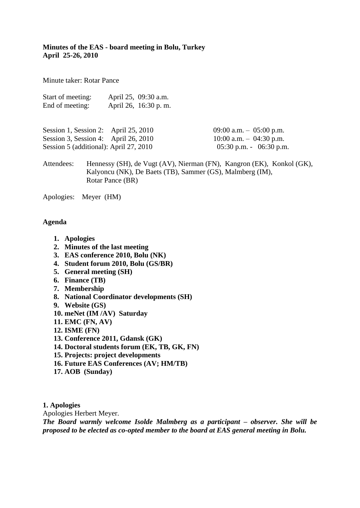**Minutes of the EAS - board meeting in Bolu, Turkey April 25-26, 2010**

Minute taker: Rotar Pance

| Start of meeting: | April 25, 09:30 a.m. |
|-------------------|----------------------|
| End of meeting:   | April 26, 16:30 p.m. |

| Session 1, Session 2: April 25, 2010   | 09:00 a.m. $-$ 05:00 p.m.   |  |
|----------------------------------------|-----------------------------|--|
| Session 3, Session 4: April 26, 2010   | $10:00$ a.m. $-04:30$ p.m.  |  |
| Session 5 (additional): April 27, 2010 | $05:30$ p.m. - $06:30$ p.m. |  |

Attendees: Hennessy (SH), de Vugt (AV), Nierman (FN), Kangron (EK), Konkol (GK), Kalyoncu (NK), De Baets (TB), Sammer (GS), Malmberg (IM), Rotar Pance (BR)

Apologies: Meyer (HM)

#### **Agenda**

- **1. Apologies**
- **2. Minutes of the last meeting**
- **3. EAS conference 2010, Bolu (NK)**
- **4. Student forum 2010, Bolu (GS/BR)**
- **5. General meeting (SH)**
- **6. Finance (TB)**
- **7. Membership**
- **8. National Coordinator developments (SH)**
- **9. Website (GS)**
- **10. meNet (IM /AV) Saturday**
- **11. EMC (FN, AV)**
- **12. ISME (FN)**
- **13. Conference 2011, Gdansk (GK)**
- **14. Doctoral students forum (EK, TB, GK, FN)**
- **15. Projects: project developments**
- **16. Future EAS Conferences (AV; HM/TB)**
- **17. AOB (Sunday)**

**1. Apologies**

Apologies Herbert Meyer.

*The Board warmly welcome Isolde Malmberg as a participant – observer. She will be proposed to be elected as co-opted member to the board at EAS general meeting in Bolu.*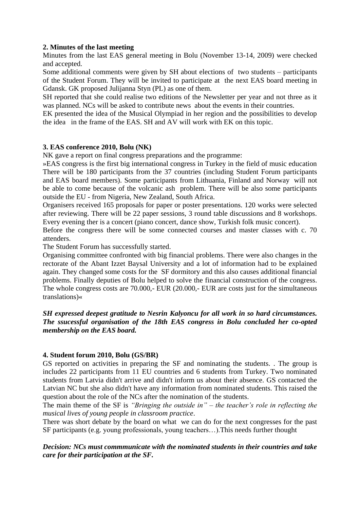### **2. Minutes of the last meeting**

Minutes from the last EAS general meeting in Bolu (November 13-14, 2009) were checked and accepted.

Some additional comments were given by SH about elections of two students – participants of the Student Forum. They will be invited to participate at the next EAS board meeting in Gdansk. GK proposed Julijanna Styn (PL) as one of them.

SH reported that she could realise two editions of the Newsletter per year and not three as it was planned. NCs will be asked to contribute news about the events in their countries.

EK presented the idea of the Musical Olympiad in her region and the possibilities to develop the idea in the frame of the EAS. SH and AV will work with EK on this topic.

# **3. EAS conference 2010, Bolu (NK)**

NK gave a report on final congress preparations and the programme:

»EAS congress is the first big international congress in Turkey in the field of music education There will be 180 participants from the 37 countries (including Student Forum participants and EAS board members). Some participants from Lithuania, Finland and Norway will not be able to come because of the volcanic ash problem. There will be also some participants outside the EU - from Nigeria, New Zealand, South Africa.

Organisers received 165 proposals for paper or poster presentations. 120 works were selected after reviewing. There will be 22 paper sessions, 3 round table discussions and 8 workshops. Every evening ther is a concert (piano concert, dance show, Turkish folk music concert).

Before the congress there will be some connected courses and master classes with c. 70 attenders.

The Student Forum has successfully started.

Organising committee confronted with big financial problems. There were also changes in the rectorate of the Abant Izzet Baysal University and a lot of information had to be explained again. They changed some costs for the SF dormitory and this also causes additional financial problems. Finally deputies of Bolu helped to solve the financial construction of the congress. The whole congress costs are 70.000,- EUR (20.000,- EUR are costs just for the simultaneous translations)«

## *SH expressed deepest gratitude to Nesrin Kalyoncu for all work in so hard circumstances. The ssucessful organisation of the 18th EAS congress in Bolu concluded her co-opted membership on the EAS board.*

#### **4. Student forum 2010, Bolu (GS/BR)**

GS reported on activities in preparing the SF and nominating the students. . The group is includes 22 participants from 11 EU countries and 6 students from Turkey. Two nominated students from Latvia didn't arrive and didn't inform us about their absence. GS contacted the Latvian NC but she also didn't have any information from nominated students. This raised the question about the role of the NCs after the nomination of the students.

The main theme of the SF is *"Bringing the outside in" – the teacher's role in reflecting the musical lives of young people in classroom practice*.

There was short debate by the board on what we can do for the next congresses for the past SF participants (e.g. young professionals, young teachers…).This needs further thought

### *Decision: NCs must commmunicate with the nominated students in their countries and take care for their participation at the SF.*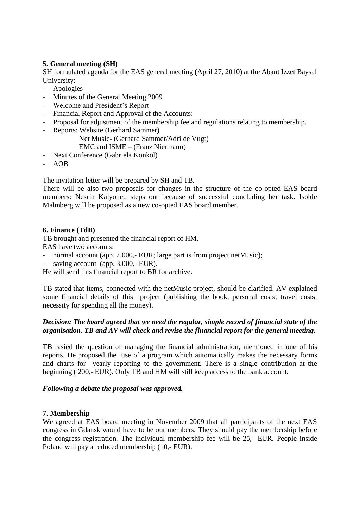# **5. General meeting (SH)**

SH formulated agenda for the EAS general meeting (April 27, 2010) at the Abant Izzet Baysal University:

- Apologies
- Minutes of the General Meeting 2009
- Welcome and President's Report
- Financial Report and Approval of the Accounts:
- Proposal for adjustment of the membership fee and regulations relating to membership.
- Reports: Website (Gerhard Sammer)
	- Net Music- (Gerhard Sammer/Adri de Vugt) EMC and ISME – (Franz Niermann)
- Next Conference (Gabriela Konkol)
- AOB

The invitation letter will be prepared by SH and TB.

There will be also two proposals for changes in the structure of the co-opted EAS board members: Nesrin Kalyoncu steps out because of successful concluding her task. Isolde Malmberg will be proposed as a new co-opted EAS board member.

#### **6. Finance (TdB)**

TB brought and presented the financial report of HM.

EAS have two accounts:

- normal account (app. 7.000,- EUR; large part is from project netMusic);
- saving account (app.  $3.000$ , EUR).

He will send this financial report to BR for archive.

TB stated that items, connected with the netMusic project, should be clarified. AV explained some financial details of this project (publishing the book, personal costs, travel costs, necessity for spending all the money).

### *Decision: The board agreed that we need the regular, simple record of financial state of the organisation. TB and AV will check and revise the financial report for the general meeting.*

TB rasied the question of managing the financial administration, mentioned in one of his reports. He proposed the use of a program which automatically makes the necessary forms and charts for yearly reporting to the government. There is a single contribution at the beginning ( 200,- EUR). Only TB and HM will still keep access to the bank account.

#### *Following a debate the proposal was approved.*

#### **7. Membership**

We agreed at EAS board meeting in November 2009 that all participants of the next EAS congress in Gdansk would have to be our members. They should pay the membership before the congress registration. The individual membership fee will be 25,- EUR. People inside Poland will pay a reduced membership (10,- EUR).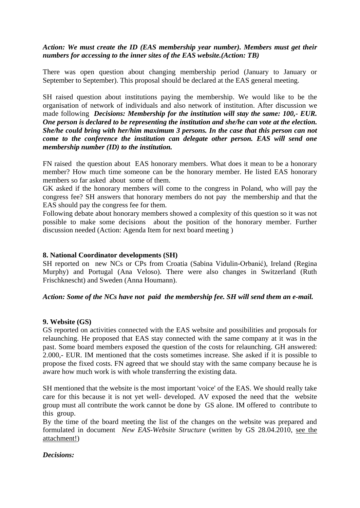## *Action: We must create the ID (EAS membership year number). Members must get their numbers for accessing to the inner sites of the EAS website.(Action: TB)*

There was open question about changing membership period (January to January or September to September). This proposal should be declared at the EAS general meeting.

SH raised question about institutions paying the membership. We would like to be the organisation of network of individuals and also network of institution. After discussion we made following *Decisions: Membership for the institution will stay the same: 100,- EUR. One person is declared to be representing the institution and she/he can vote at the election. She/he could bring with her/him maximum 3 persons. In the case that this person can not come to the conference the institution can delegate other person. EAS will send one membership number (ID) to the institution.*

FN raised the question about EAS honorary members. What does it mean to be a honorary member? How much time someone can be the honorary member. He listed EAS honorary members so far asked about some of them.

GK asked if the honorary members will come to the congress in Poland, who will pay the congress fee? SH answers that honorary members do not pay the membership and that the EAS should pay the congress fee for them.

Following debate about honorary members showed a complexity of this question so it was not possible to make some decisions about the position of the honorary member. Further discussion needed (Action: Agenda Item for next board meeting )

### **8. National Coordinator developments (SH)**

SH reported on new NCs or CPs from Croatia (Sabina Vidulin-Orbanić), Ireland (Regina Murphy) and Portugal (Ana Veloso). There were also changes in Switzerland (Ruth Frischknescht) and Sweden (Anna Houmann).

#### *Action: Some of the NCs have not paid the membership fee. SH will send them an e-mail.*

#### **9. Website (GS)**

GS reported on activities connected with the EAS website and possibilities and proposals for relaunching. He proposed that EAS stay connected with the same company at it was in the past. Some board members exposed the question of the costs for relaunching. GH answered: 2.000,- EUR. IM mentioned that the costs sometimes increase. She asked if it is possible to propose the fixed costs. FN agreed that we should stay with the same company because he is aware how much work is with whole transferring the existing data.

SH mentioned that the website is the most important 'voice' of the EAS. We should really take care for this because it is not yet well- developed. AV exposed the need that the website group must all contribute the work cannot be done by GS alone. IM offered to contribute to this group.

By the time of the board meeting the list of the changes on the website was prepared and formulated in document *New EAS-Website Structure* (written by GS 28.04.2010, see the attachment!)

#### *Decisions:*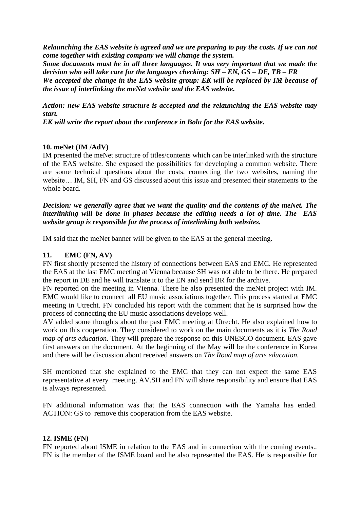*Relaunching the EAS website is agreed and we are preparing to pay the costs. If we can not come together with existing company we will change the system. Some documents must be in all three languages. It was very important that we made the* 

*decision who will take care for the languages checking: SH – EN, GS – DE, TB – FR*

*We accepted the change in the EAS website group: EK will be replaced by IM because of the issue of interlinking the meNet website and the EAS website.*

*Action: new EAS website structure is accepted and the relaunching the EAS website may start.*

*EK will write the report about the conference in Bolu for the EAS website.*

# **10. meNet (IM /AdV)**

IM presented the meNet structure of titles/contents which can be interlinked with the structure of the EAS website. She exposed the possibilities for developing a common website. There are some technical questions about the costs, connecting the two websites, naming the website… IM, SH, FN and GS discussed about this issue and presented their statements to the whole board.

*Decision: we generally agree that we want the quality and the contents of the meNet. The interlinking will be done in phases because the editing needs a lot of time. The EAS website group is responsible for the process of interlinking both websites.*

IM said that the meNet banner will be given to the EAS at the general meeting.

# **11. EMC (FN, AV)**

FN first shortly presented the history of connections between EAS and EMC. He represented the EAS at the last EMC meeting at Vienna because SH was not able to be there. He prepared the report in DE and he will translate it to the EN and send BR for the archive.

FN reported on the meeting in Vienna. There he also presented the meNet project with IM. EMC would like to connect all EU music associations together. This process started at EMC meeting in Utrecht. FN concluded his report with the comment that he is surprised how the process of connecting the EU music associations develops well.

AV added some thoughts about the past EMC meeting at Utrecht. He also explained how to work on this cooperation. They considered to work on the main documents as it is *The Road map of arts education.* They will prepare the response on this UNESCO document. EAS gave first answers on the document. At the beginning of the May will be the conference in Korea and there will be discussion about received answers on *The Road map of arts education.*

SH mentioned that she explained to the EMC that they can not expect the same EAS representative at every meeting. AV.SH and FN will share responsibility and ensure that EAS is always represented.

FN additional information was that the EAS connection with the Yamaha has ended. ACTION: GS to remove this cooperation from the EAS website.

# **12. ISME (FN)**

FN reported about ISME in relation to the EAS and in connection with the coming events.. FN is the member of the ISME board and he also represented the EAS. He is responsible for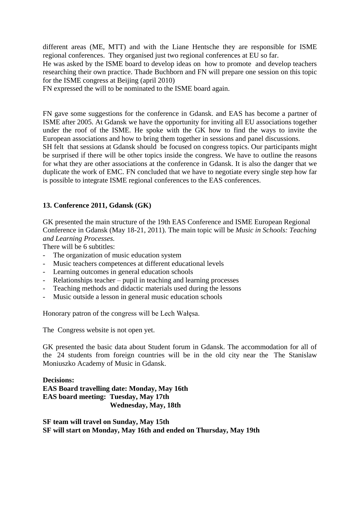different areas (ME, MTT) and with the Liane Hentsche they are responsible for ISME regional conferences. They organised just two regional conferences at EU so far. He was asked by the ISME board to develop ideas on how to promote and develop teachers researching their own practice. Thade Buchborn and FN will prepare one session on this topic for the ISME congress at Beijing (april 2010)

FN expressed the will to be nominated to the ISME board again.

FN gave some suggestions for the conference in Gdansk. and EAS has become a partner of ISME after 2005. At Gdansk we have the opportunity for inviting all EU associations together under the roof of the ISME. He spoke with the GK how to find the ways to invite the European associations and how to bring them together in sessions and panel discussions.

SH felt that sessions at Gdansk should be focused on congress topics. Our participants might be surprised if there will be other topics inside the congress. We have to outline the reasons for what they are other associations at the conference in Gdansk. It is also the danger that we duplicate the work of EMC. FN concluded that we have to negotiate every single step how far is possible to integrate ISME regional conferences to the EAS conferences.

# **13. Conference 2011, Gdansk (GK)**

GK presented the main structure of the 19th EAS Conference and ISME European Regional Conference in Gdansk (May 18-21, 2011). The main topic will be *Music in Schools: Teaching and Learning Processes.* 

There will be 6 subtitles:

- The organization of music education system
- Music teachers competences at different educational levels
- Learning outcomes in general education schools
- Relationships teacher pupil in teaching and learning processes
- Teaching methods and didactic materials used during the lessons
- Music outside a lesson in general music education schools

Honorary patron of the congress will be Lech Wałęsa.

The Congress website is not open yet.

GK presented the basic data about Student forum in Gdansk. The accommodation for all of the 24 students from foreign countries will be in the old city near the The Stanislaw Moniuszko Academy of Music in Gdansk.

**Decisions: EAS Board travelling date: Monday, May 16th EAS board meeting: Tuesday, May 17th Wednesday, May, 18th**

**SF team will travel on Sunday, May 15th SF will start on Monday, May 16th and ended on Thursday, May 19th**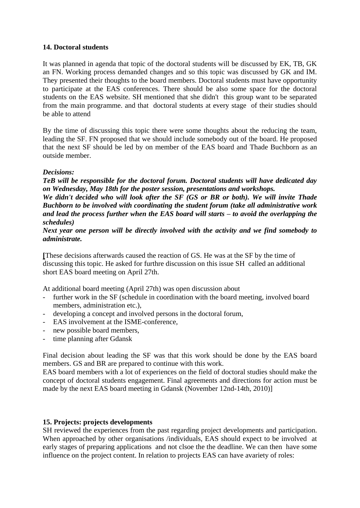## **14. Doctoral students**

It was planned in agenda that topic of the doctoral students will be discussed by EK, TB, GK an FN. Working process demanded changes and so this topic was discussed by GK and IM. They presented their thoughts to the board members. Doctoral students must have opportunity to participate at the EAS conferences. There should be also some space for the doctoral students on the EAS website. SH mentioned that she didn't this group want to be separated from the main programme. and that doctoral students at every stage of their studies should be able to attend

By the time of discussing this topic there were some thoughts about the reducing the team, leading the SF. FN proposed that we should include somebody out of the board. He proposed that the next SF should be led by on member of the EAS board and Thade Buchborn as an outside member.

### *Decisions:*

*TeB will be responsible for the doctoral forum. Doctoral students will have dedicated day on Wednesday, May 18th for the poster session, presentations and workshops.*

*We didn't decided who will look after the SF (GS or BR or both). We will invite Thade Buchborn to be involved with coordinating the student forum (take all administrative work and lead the process further when the EAS board will starts – to avoid the overlapping the schedules)*

*Next year one person will be directly involved with the activity and we find somebody to administrate.*

**[**These decisions afterwards caused the reaction of GS. He was at the SF by the time of discussing this topic. He asked for furthre discussion on this issue SH called an additional short EAS board meeting on April 27th.

At additional board meeting (April 27th) was open discussion about

- further work in the SF (schedule in coordination with the board meeting, involved board members, administration etc.).
- developing a concept and involved persons in the doctoral forum,
- EAS involvement at the ISME-conference,
- new possible board members,
- time planning after Gdansk

Final decision about leading the SF was that this work should be done by the EAS board members. GS and BR are prepared to continue with this work.

EAS board members with a lot of experiences on the field of doctoral studies should make the concept of doctoral students engagement. Final agreements and directions for action must be made by the next EAS board meeting in Gdansk (November 12nd-14th, 2010)]

#### **15. Projects: projects developments**

SH reviewed the experiences from the past regarding project developments and participation. When approached by other organisations /individuals, EAS should expect to be involved at early stages of preparing applications and not clsoe the the deadline. We can then have some influence on the project content. In relation to projects EAS can have avariety of roles: